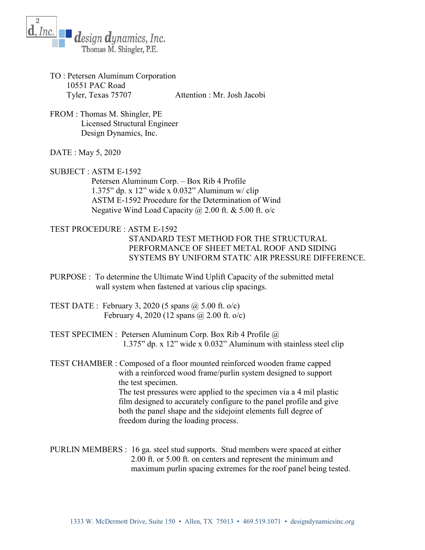

- TO : Petersen Aluminum Corporation 10551 PAC Road Tyler, Texas 75707 Attention : Mr. Josh Jacobi
- FROM : Thomas M. Shingler, PE Licensed Structural Engineer Design Dynamics, Inc.
- DATE : May 5, 2020
- SUBJECT : ASTM E-1592

 Petersen Aluminum Corp. – Box Rib 4 Profile 1.375" dp. x 12" wide x 0.032" Aluminum w/ clip ASTM E-1592 Procedure for the Determination of Wind Negative Wind Load Capacity  $\omega$  2.00 ft. & 5.00 ft. o/c

- TEST PROCEDURE : ASTM E-1592 STANDARD TEST METHOD FOR THE STRUCTURAL PERFORMANCE OF SHEET METAL ROOF AND SIDING SYSTEMS BY UNIFORM STATIC AIR PRESSURE DIFFERENCE.
- PURPOSE : To determine the Ultimate Wind Uplift Capacity of the submitted metal wall system when fastened at various clip spacings.
- TEST DATE : February 3, 2020 (5 spans  $\omega$  5.00 ft. o/c) February 4, 2020 (12 spans @ 2.00 ft. o/c)
- TEST SPECIMEN : Petersen Aluminum Corp. Box Rib 4 Profile @ 1.375" dp. x 12" wide x 0.032" Aluminum with stainless steel clip
- TEST CHAMBER : Composed of a floor mounted reinforced wooden frame capped with a reinforced wood frame/purlin system designed to support the test specimen. The test pressures were applied to the specimen via a 4 mil plastic film designed to accurately configure to the panel profile and give both the panel shape and the sidejoint elements full degree of freedom during the loading process.
- PURLIN MEMBERS : 16 ga. steel stud supports. Stud members were spaced at either 2.00 ft. or 5.00 ft. on centers and represent the minimum and maximum purlin spacing extremes for the roof panel being tested.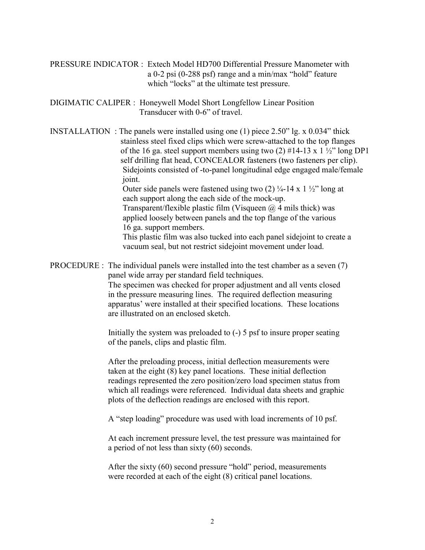PRESSURE INDICATOR : Extech Model HD700 Differential Pressure Manometer with a 0-2 psi (0-288 psf) range and a min/max "hold" feature which "locks" at the ultimate test pressure.

DIGIMATIC CALIPER : Honeywell Model Short Longfellow Linear Position Transducer with 0-6" of travel.

INSTALLATION : The panels were installed using one (1) piece 2.50" lg. x 0.034" thick stainless steel fixed clips which were screw-attached to the top flanges of the 16 ga. steel support members using two (2)  $\#14-13 \times 1 \frac{1}{2}$ " long DP1 self drilling flat head, CONCEALOR fasteners (two fasteners per clip). Sidejoints consisted of -to-panel longitudinal edge engaged male/female joint.

Outer side panels were fastened using two  $(2)$  ¼-14 x 1 ½" long at each support along the each side of the mock-up.

Transparent/flexible plastic film (Visqueen  $\omega$  4 mils thick) was applied loosely between panels and the top flange of the various 16 ga. support members.

 This plastic film was also tucked into each panel sidejoint to create a vacuum seal, but not restrict sidejoint movement under load.

PROCEDURE : The individual panels were installed into the test chamber as a seven (7) panel wide array per standard field techniques.

> The specimen was checked for proper adjustment and all vents closed in the pressure measuring lines. The required deflection measuring apparatus' were installed at their specified locations. These locations are illustrated on an enclosed sketch.

> Initially the system was preloaded to (-) 5 psf to insure proper seating of the panels, clips and plastic film.

 After the preloading process, initial deflection measurements were taken at the eight (8) key panel locations. These initial deflection readings represented the zero position/zero load specimen status from which all readings were referenced. Individual data sheets and graphic plots of the deflection readings are enclosed with this report.

A "step loading" procedure was used with load increments of 10 psf.

 At each increment pressure level, the test pressure was maintained for a period of not less than sixty (60) seconds.

 After the sixty (60) second pressure "hold" period, measurements were recorded at each of the eight (8) critical panel locations.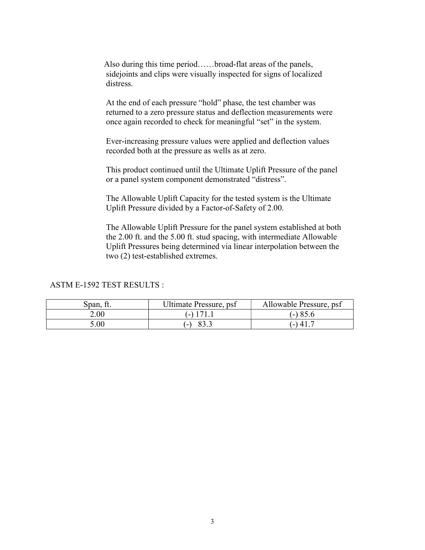Also during this time period……broad-flat areas of the panels, sidejoints and clips were visually inspected for signs of localized distress.

 At the end of each pressure "hold" phase, the test chamber was returned to a zero pressure status and deflection measurements were once again recorded to check for meaningful "set" in the system.

 Ever-increasing pressure values were applied and deflection values recorded both at the pressure as wells as at zero.

 This product continued until the Ultimate Uplift Pressure of the panel or a panel system component demonstrated "distress".

 The Allowable Uplift Capacity for the tested system is the Ultimate Uplift Pressure divided by a Factor-of-Safety of 2.00.

 The Allowable Uplift Pressure for the panel system established at both the 2.00 ft. and the 5.00 ft. stud spacing, with intermediate Allowable Uplift Pressures being determined via linear interpolation between the two (2) test-established extremes.

## ASTM E-1592 TEST RESULTS :

| Span, ft.         | Ultimate Pressure, psf | Allowable Pressure, psf |
|-------------------|------------------------|-------------------------|
| 2.00 <sub>1</sub> | $($ -) 171.1           | (-) 85.6                |
| 0.00              | -                      | $\binom{1}{4}$ .        |